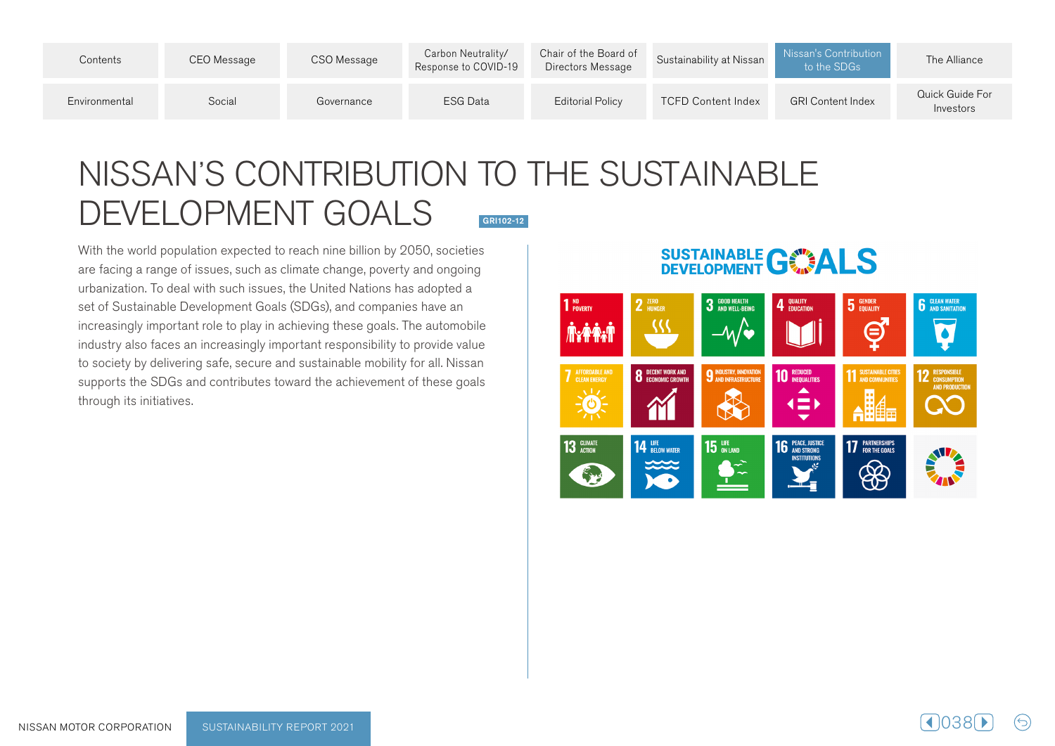| Contents      | CEO Message | CSO Message | Carbon Neutrality/<br>Response to COVID-19 | Chair of the Board of<br>Directors Message | Sustainability at Nissan  | Nissan's Contribution<br>to the SDGs | The Alliance                 |
|---------------|-------------|-------------|--------------------------------------------|--------------------------------------------|---------------------------|--------------------------------------|------------------------------|
| Environmental | Social      | Governance  | ESG Data                                   | <b>Editorial Policy</b>                    | <b>TCFD Content Index</b> | <b>GRI Content Index</b>             | Quick Guide For<br>Investors |

## NISSAN'S CONTRIBUTION TO THE SUSTAINABLE DEVELOPMENT GOALS GRI102-12

With the world population expected to reach nine billion by 2050, societies are facing a range of issues, such as climate change, poverty and ongoing urbanization. To deal with such issues, the United Nations has adopted a set of Sustainable Development Goals (SDGs), and companies have an increasingly important role to play in achieving these goals. The automobile industry also faces an increasingly important responsibility to provide value to society by delivering safe, secure and sustainable mobility for all. Nissan supports the SDGs and contributes toward the achievement of these goals through its initiatives.

## **SUSTAINABLE GWALS**

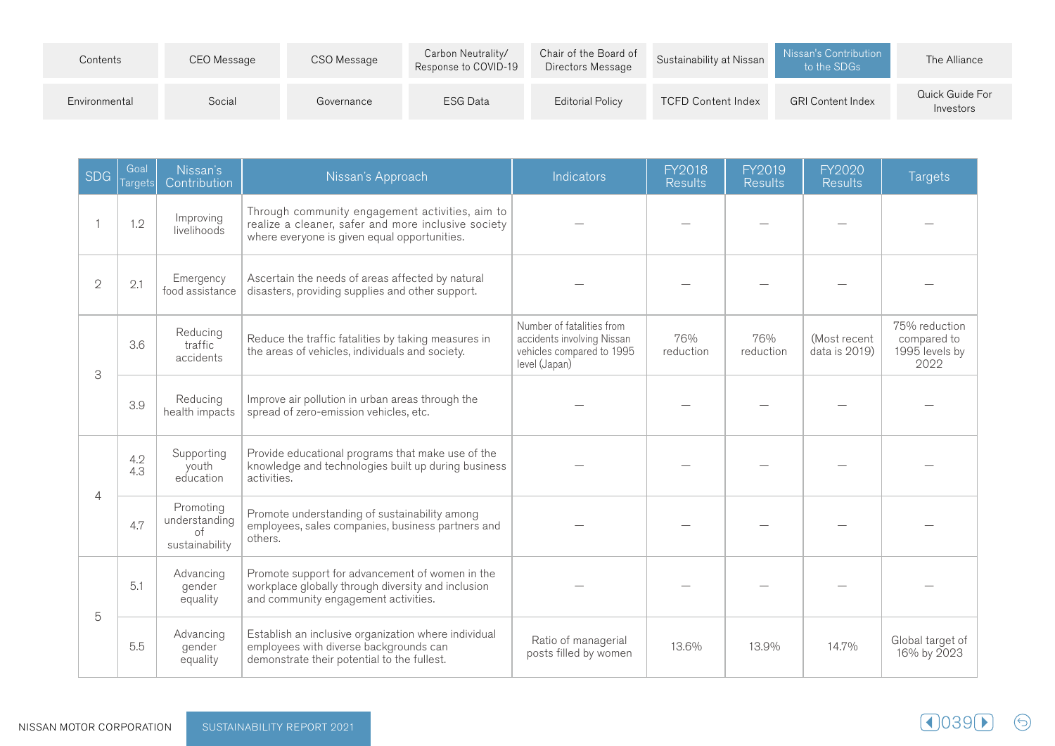| Contents      | CEO Message | CSO Message | Carbon Neutrality/<br>Response to COVID-19 | Chair of the Board of<br>Directors Message | Sustainability at Nissan  | Nissan's Contribution<br>to the SDGs | The Alliance                 |
|---------------|-------------|-------------|--------------------------------------------|--------------------------------------------|---------------------------|--------------------------------------|------------------------------|
| Environmental | Social      | Governance  | ESG Data                                   | <b>Editorial Policy</b>                    | <b>TCFD Content Index</b> | <b>GRI Content Index</b>             | Quick Guide For<br>Investors |

| <b>SDG</b>     | Goal<br>Targets | Nissan's<br>Contribution                                  | Nissan's Approach                                                                                                                                      | Indicators                                                                                            | FY2018<br><b>Results</b> | FY2019<br><b>Results</b> | FY2020<br><b>Results</b>      | <b>Targets</b>                                         |
|----------------|-----------------|-----------------------------------------------------------|--------------------------------------------------------------------------------------------------------------------------------------------------------|-------------------------------------------------------------------------------------------------------|--------------------------|--------------------------|-------------------------------|--------------------------------------------------------|
|                | 1.2             | Improving<br>livelihoods                                  | Through community engagement activities, aim to<br>realize a cleaner, safer and more inclusive society<br>where everyone is given equal opportunities. |                                                                                                       |                          |                          |                               |                                                        |
| $\overline{2}$ | 2.1             | Emergency<br>food assistance                              | Ascertain the needs of areas affected by natural<br>disasters, providing supplies and other support.                                                   |                                                                                                       |                          |                          |                               |                                                        |
| 3              | 3.6             | Reducing<br>traffic<br>accidents                          | Reduce the traffic fatalities by taking measures in<br>the areas of vehicles, individuals and society.                                                 | Number of fatalities from<br>accidents involving Nissan<br>vehicles compared to 1995<br>level (Japan) | 76%<br>reduction         | 76%<br>reduction         | (Most recent<br>data is 2019) | 75% reduction<br>compared to<br>1995 levels by<br>2022 |
|                | 3.9             | Reducing<br>health impacts                                | Improve air pollution in urban areas through the<br>spread of zero-emission vehicles, etc.                                                             |                                                                                                       |                          |                          |                               |                                                        |
| 4              | 4.2<br>4.3      | Supporting<br>youth<br>education                          | Provide educational programs that make use of the<br>knowledge and technologies built up during business<br>activities.                                |                                                                                                       |                          |                          |                               |                                                        |
|                | 4.7             | Promoting<br>understanding<br>$\circ$ f<br>sustainability | Promote understanding of sustainability among<br>employees, sales companies, business partners and<br>others.                                          |                                                                                                       |                          |                          |                               |                                                        |
| 5              | 5.1             | Advancing<br>gender<br>equality                           | Promote support for advancement of women in the<br>workplace globally through diversity and inclusion<br>and community engagement activities.          |                                                                                                       |                          |                          |                               |                                                        |
|                | 5.5             | Advancing<br>gender<br>equality                           | Establish an inclusive organization where individual<br>employees with diverse backgrounds can<br>demonstrate their potential to the fullest.          | Ratio of managerial<br>posts filled by women                                                          | 13.6%                    | 13.9%                    | 14.7%                         | Global target of<br>16% by 2023                        |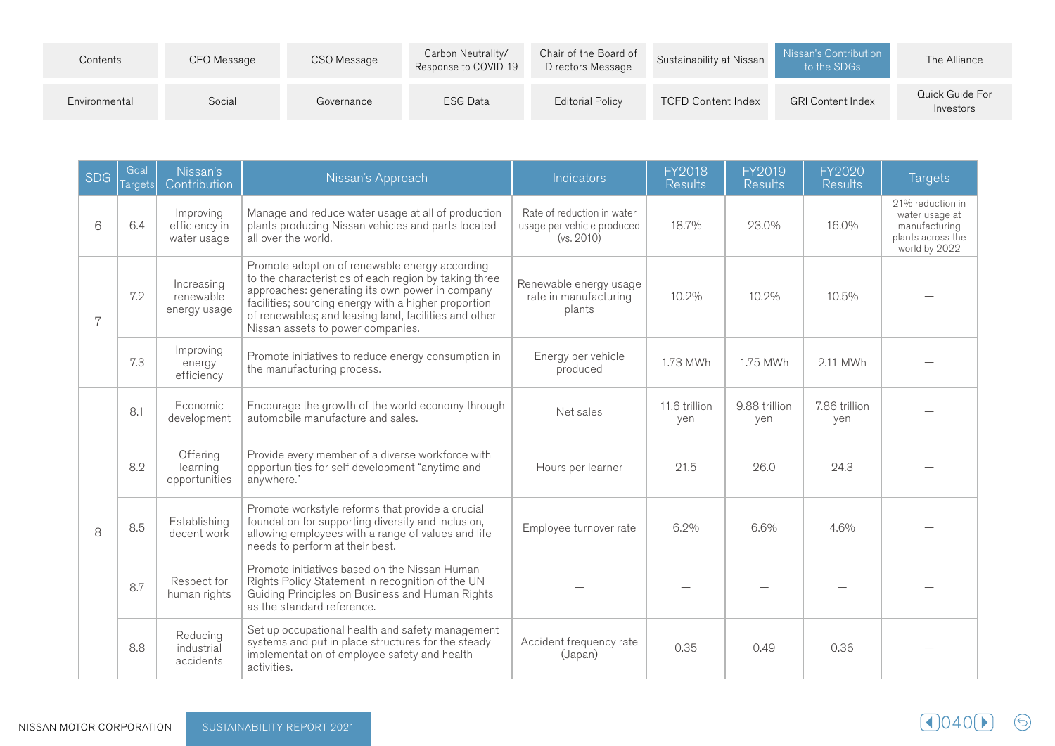| Contents      | CEO Message | CSO Message | Carbon Neutrality/<br>Response to COVID-19 | Chair of the Board of<br>Directors Message | Sustainability at Nissan  | Nissan's Contribution<br>to the SDGs | The Alliance                 |
|---------------|-------------|-------------|--------------------------------------------|--------------------------------------------|---------------------------|--------------------------------------|------------------------------|
| Environmental | Social      | Governance  | ESG Data                                   | <b>Editorial Policy</b>                    | <b>TCFD Content Index</b> | <b>GRI Content Index</b>             | Quick Guide For<br>Investors |

| <b>SDG</b> | Goal<br>Targets                                                                     | Nissan's<br>Contribution                  | Nissan's Approach                                                                                                                                                                                                                                                           | Indicators                                                             | <b>FY2018</b><br><b>Results</b> | FY2019<br><b>Results</b> | FY2020<br><b>Results</b> | <b>Targets</b>                                                                            |
|------------|-------------------------------------------------------------------------------------|-------------------------------------------|-----------------------------------------------------------------------------------------------------------------------------------------------------------------------------------------------------------------------------------------------------------------------------|------------------------------------------------------------------------|---------------------------------|--------------------------|--------------------------|-------------------------------------------------------------------------------------------|
| 6          | 6.4                                                                                 | Improving<br>efficiency in<br>water usage | Manage and reduce water usage at all of production<br>plants producing Nissan vehicles and parts located<br>all over the world.                                                                                                                                             | Rate of reduction in water<br>usage per vehicle produced<br>(vs. 2010) | 18.7%                           | 23.0%                    | 16.0%                    | 21% reduction in<br>water usage at<br>manufacturing<br>plants across the<br>world by 2022 |
| 7          | Increasing<br>7.2<br>renewable<br>energy usage<br>Nissan assets to power companies. |                                           | Promote adoption of renewable energy according<br>to the characteristics of each region by taking three<br>approaches: generating its own power in company<br>facilities; sourcing energy with a higher proportion<br>of renewables; and leasing land, facilities and other | Renewable energy usage<br>rate in manufacturing<br>plants              | 10.2%                           | 10.2%                    | 10.5%                    |                                                                                           |
|            | 7.3                                                                                 | Improving<br>energy<br>efficiency         | Promote initiatives to reduce energy consumption in<br>the manufacturing process.                                                                                                                                                                                           | Energy per vehicle<br>produced                                         | 1.73 MWh                        | 1.75 MWh                 | 2.11 MWh                 |                                                                                           |
|            | 8.1                                                                                 | Economic<br>development                   | Encourage the growth of the world economy through<br>automobile manufacture and sales.                                                                                                                                                                                      | Net sales                                                              | 11.6 trillion<br>yen            | 9.88 trillion<br>yen     | 7.86 trillion<br>yen     |                                                                                           |
|            | 8.2                                                                                 | Offering<br>learning<br>opportunities     | Provide every member of a diverse workforce with<br>opportunities for self development "anytime and<br>anywhere."                                                                                                                                                           | Hours per learner                                                      | 21.5                            | 26.0                     | 24.3                     |                                                                                           |
| 8          | 8.5                                                                                 | Establishing<br>decent work               | Promote workstyle reforms that provide a crucial<br>foundation for supporting diversity and inclusion,<br>allowing employees with a range of values and life<br>needs to perform at their best.                                                                             | Employee turnover rate                                                 | 6.2%                            | 6.6%                     | 4.6%                     |                                                                                           |
|            | 8.7                                                                                 | Respect for<br>human rights               | Promote initiatives based on the Nissan Human<br>Rights Policy Statement in recognition of the UN<br>Guiding Principles on Business and Human Rights<br>as the standard reference.                                                                                          |                                                                        |                                 |                          |                          |                                                                                           |
|            | 8.8                                                                                 | Reducing<br>industrial<br>accidents       | Set up occupational health and safety management<br>systems and put in place structures for the steady<br>implementation of employee safety and health<br>activities.                                                                                                       | Accident frequency rate<br>(Japan)                                     | 0.35                            | 0.49                     | 0.36                     |                                                                                           |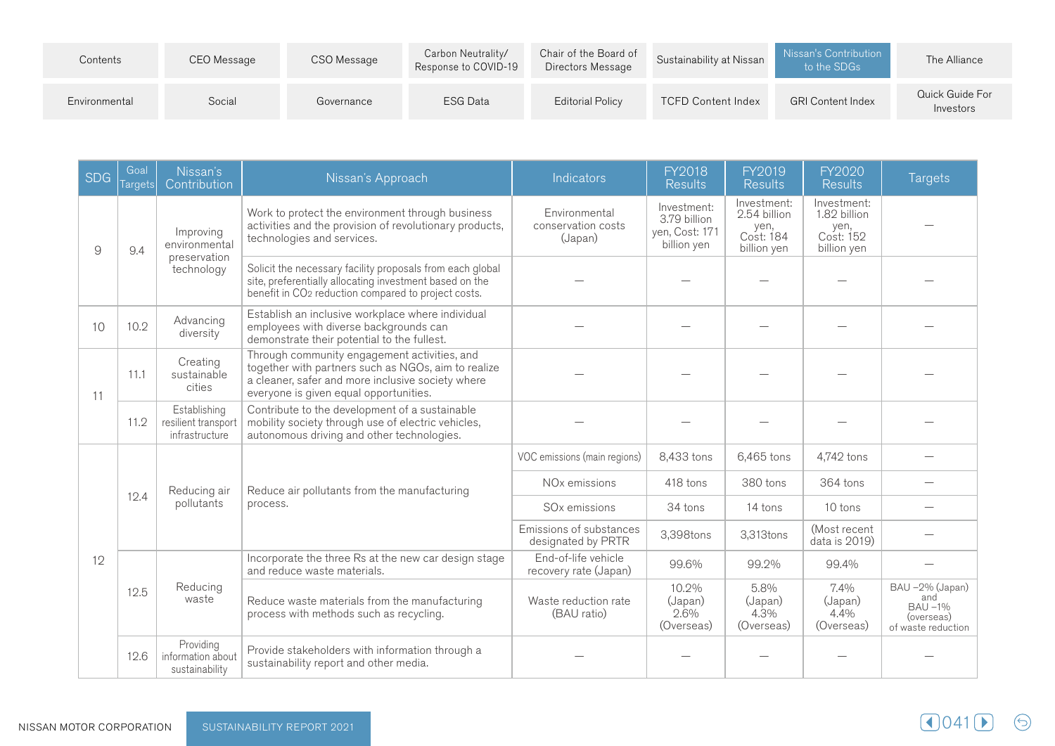| Contents      | CEO Message | CSO Message | Carbon Neutrality/<br>Response to COVID-19 | Chair of the Board of<br>Directors Message | Sustainability at Nissan  | Nissan's Contribution<br>to the SDGs | The Alliance                 |
|---------------|-------------|-------------|--------------------------------------------|--------------------------------------------|---------------------------|--------------------------------------|------------------------------|
| Environmental | Social      | Governance  | <b>ESG Data</b>                            | <b>Editorial Policy</b>                    | <b>TCFD Content Index</b> | <b>GRI Content Index</b>             | Quick Guide For<br>Investors |

| <b>SDG</b> | Goal<br>Targets | Nissan's<br>Contribution                              | Nissan's Approach                                                                                                                                                                                  | Indicators                                     | <b>FY2018</b><br><b>Results</b>                              | FY2019<br><b>Results</b>                                        | FY2020<br><b>Results</b>                                        | <b>Targets</b>                                                       |
|------------|-----------------|-------------------------------------------------------|----------------------------------------------------------------------------------------------------------------------------------------------------------------------------------------------------|------------------------------------------------|--------------------------------------------------------------|-----------------------------------------------------------------|-----------------------------------------------------------------|----------------------------------------------------------------------|
| 9          | 9.4             | Improving<br>environmental                            | Work to protect the environment through business<br>activities and the provision of revolutionary products,<br>technologies and services.                                                          | Environmental<br>conservation costs<br>(Japan) | Investment:<br>3.79 billion<br>yen, Cost: 171<br>billion yen | Investment:<br>2.54 billion<br>yen,<br>Cost: 184<br>billion yen | Investment:<br>1.82 billion<br>yen,<br>Cost: 152<br>billion yen |                                                                      |
|            |                 | preservation<br>technology                            | Solicit the necessary facility proposals from each global<br>site, preferentially allocating investment based on the<br>benefit in CO <sub>2</sub> reduction compared to project costs.            |                                                |                                                              |                                                                 |                                                                 |                                                                      |
| 10         | 10.2            | Advancing<br>diversity                                | Establish an inclusive workplace where individual<br>employees with diverse backgrounds can<br>demonstrate their potential to the fullest.                                                         |                                                |                                                              |                                                                 |                                                                 |                                                                      |
| 11         | 11.1            | Creating<br>sustainable<br>cities                     | Through community engagement activities, and<br>together with partners such as NGOs, aim to realize<br>a cleaner, safer and more inclusive society where<br>everyone is given equal opportunities. |                                                |                                                              |                                                                 |                                                                 |                                                                      |
|            | 11.2            | Establishing<br>resilient transport<br>infrastructure | Contribute to the development of a sustainable<br>mobility society through use of electric vehicles,<br>autonomous driving and other technologies.                                                 |                                                |                                                              |                                                                 |                                                                 |                                                                      |
|            |                 | Reducing air                                          | Reduce air pollutants from the manufacturing<br>process.                                                                                                                                           | VOC emissions (main regions)                   | 8,433 tons                                                   | 6,465 tons                                                      | 4,742 tons                                                      |                                                                      |
|            |                 |                                                       |                                                                                                                                                                                                    | NO <sub>x</sub> emissions                      | 418 tons                                                     | 380 tons                                                        | 364 tons                                                        |                                                                      |
|            | 12.4            | pollutants                                            |                                                                                                                                                                                                    | SO <sub>x</sub> emissions                      | 34 tons                                                      | 14 tons                                                         | 10 tons                                                         |                                                                      |
|            |                 |                                                       |                                                                                                                                                                                                    | Emissions of substances<br>designated by PRTR  | 3,398tons                                                    | 3,313tons                                                       | (Most recent<br>data is 2019)                                   |                                                                      |
| 12         |                 |                                                       | Incorporate the three Rs at the new car design stage<br>and reduce waste materials.                                                                                                                | End-of-life vehicle<br>recovery rate (Japan)   | 99.6%                                                        | 99.2%                                                           | 99.4%                                                           |                                                                      |
|            | 12.5            | Reducing<br>waste                                     | Reduce waste materials from the manufacturing<br>process with methods such as recycling.                                                                                                           | Waste reduction rate<br>(BAU ratio)            | 10.2%<br>(Japan)<br>2.6%<br>(Overseas)                       | 5.8%<br>(Japan)<br>$4.3\%$<br>(Overseas)                        | 7.4%<br>(Japan)<br>4.4%<br>(Overseas)                           | BAU-2% (Japan)<br>and<br>BAU -1%<br>(overseas)<br>of waste reduction |
|            | 12.6            | Providing<br>information about<br>sustainability      | Provide stakeholders with information through a<br>sustainability report and other media.                                                                                                          |                                                |                                                              |                                                                 |                                                                 |                                                                      |